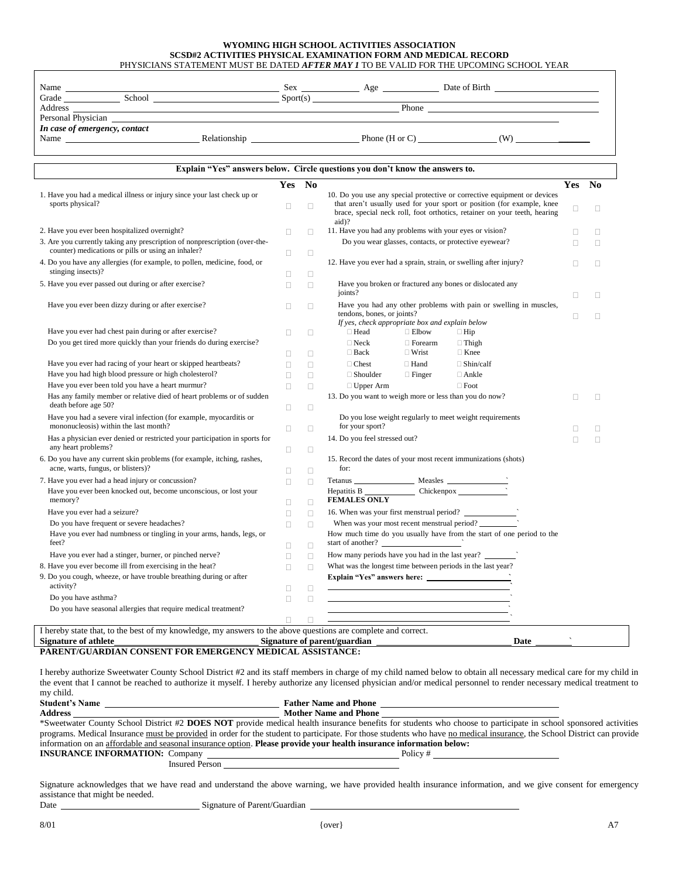## **WYOMING HIGH SCHOOL ACTIVITIES ASSOCIATION SCSD#2 ACTIVITIES PHYSICAL EXAMINATION FORM AND MEDICAL RECORD** PHYSICIANS STATEMENT MUST BE DATED *AFTER MAY 1* TO BE VALID FOR THE UPCOMING SCHOOL YEAR

| Name               |                               |              | Sex     | Age                  | Date of Birth |
|--------------------|-------------------------------|--------------|---------|----------------------|---------------|
| Grade              | School                        |              | Sort(s) |                      |               |
| Address            |                               |              |         | Phone                |               |
| Personal Physician |                               |              |         |                      |               |
|                    | In case of emergency, contact |              |         |                      |               |
| Name               |                               | Relationship |         | Phone ( $H$ or $C$ ) | W             |

|                                                                                                             | Yes No |        |                                                                                                                                                              | <b>Yes</b> | No     |
|-------------------------------------------------------------------------------------------------------------|--------|--------|--------------------------------------------------------------------------------------------------------------------------------------------------------------|------------|--------|
| 1. Have you had a medical illness or injury since your last check up or<br>sports physical?                 |        |        | 10. Do you use any special protective or corrective equipment or devices                                                                                     |            |        |
|                                                                                                             |        | П      | that aren't usually used for your sport or position (for example, knee<br>brace, special neck roll, foot orthotics, retainer on your teeth, hearing<br>aid)? | □          | $\Box$ |
| 2. Have you ever been hospitalized overnight?                                                               | о      | п      | 11. Have you had any problems with your eyes or vision?                                                                                                      | □          | $\Box$ |
| 3. Are you currently taking any prescription of nonprescription (over-the-                                  |        |        | Do you wear glasses, contacts, or protective eyewear?                                                                                                        | П          | П      |
| counter) medications or pills or using an inhaler?                                                          | п      | $\Box$ |                                                                                                                                                              |            |        |
| 4. Do you have any allergies (for example, to pollen, medicine, food, or<br>stinging insects)?              |        |        | 12. Have you ever had a sprain, strain, or swelling after injury?                                                                                            | П          | П      |
|                                                                                                             | п      | $\Box$ |                                                                                                                                                              |            |        |
| 5. Have you ever passed out during or after exercise?                                                       | П      | $\Box$ | Have you broken or fractured any bones or dislocated any<br>joints?                                                                                          |            |        |
|                                                                                                             |        |        |                                                                                                                                                              | □          | П      |
| Have you ever been dizzy during or after exercise?                                                          | П.     | П      | Have you had any other problems with pain or swelling in muscles,<br>tendons, bones, or joints?                                                              |            |        |
|                                                                                                             |        |        | If yes, check appropriate box and explain below                                                                                                              | П          | П      |
| Have you ever had chest pain during or after exercise?                                                      | п      | $\Box$ | □ Head<br>$\Box$ Elbow<br>$\Box$ Hip                                                                                                                         |            |        |
| Do you get tired more quickly than your friends do during exercise?                                         |        |        | $\Box$ Neck<br>$\Box$ Thigh<br>$\Box$ Forearm                                                                                                                |            |        |
|                                                                                                             | п      | $\Box$ | $\Box$ Back<br>$\Box$ Wrist<br>$\Box$ Knee                                                                                                                   |            |        |
| Have you ever had racing of your heart or skipped heartbeats?                                               | п      | $\Box$ | $\Box$ Chest<br>$\Box$ Hand<br>$\Box$ Shin/calf                                                                                                              |            |        |
| Have you had high blood pressure or high cholesterol?                                                       | п      | $\Box$ | $\Box$ Shoulder<br>$\Box$ Finger<br>$\Box$ Ankle                                                                                                             |            |        |
| Have you ever been told you have a heart murmur?                                                            | п      | $\Box$ | $\Box$ Foot<br>$\Box$ Upper Arm                                                                                                                              |            |        |
| Has any family member or relative died of heart problems or of sudden                                       |        |        | 13. Do you want to weigh more or less than you do now?                                                                                                       | П          | $\Box$ |
| death before age 50?                                                                                        | о      | $\Box$ |                                                                                                                                                              |            |        |
| Have you had a severe viral infection (for example, myocarditis or<br>mononucleosis) within the last month? | П.     | л      | Do you lose weight regularly to meet weight requirements<br>for your sport?                                                                                  | П          | $\Box$ |
| Has a physician ever denied or restricted your participation in sports for                                  |        |        | 14. Do you feel stressed out?                                                                                                                                | П          | $\Box$ |
| any heart problems?                                                                                         | 0      | $\Box$ |                                                                                                                                                              |            |        |
| 6. Do you have any current skin problems (for example, itching, rashes,                                     |        |        | 15. Record the dates of your most recent immunizations (shots)                                                                                               |            |        |
| acne, warts, fungus, or blisters)?                                                                          | п      | $\Box$ | for:                                                                                                                                                         |            |        |
| 7. Have you ever had a head injury or concussion?                                                           | п      | $\Box$ | Tetanus $\frac{\text{Measles}}{\text{Measles}}$                                                                                                              |            |        |
| Have you ever been knocked out, become unconscious, or lost your                                            |        |        | Hepatitis B Chickenpox                                                                                                                                       |            |        |
| memory?                                                                                                     | п      | $\Box$ | <b>FEMALES ONLY</b>                                                                                                                                          |            |        |
| Have you ever had a seizure?                                                                                | п      | П      |                                                                                                                                                              |            |        |
| Do you have frequent or severe headaches?                                                                   | п      | П      | When was your most recent menstrual period?                                                                                                                  |            |        |
| Have you ever had numbness or tingling in your arms, hands, legs, or<br>feet?                               | п      | П      | How much time do you usually have from the start of one period to the<br>start of another?                                                                   |            |        |
| Have you ever had a stinger, burner, or pinched nerve?                                                      | п      | $\Box$ | How many periods have you had in the last year?                                                                                                              |            |        |
| 8. Have you ever become ill from exercising in the heat?                                                    | п      | П      | What was the longest time between periods in the last year?                                                                                                  |            |        |
| 9. Do you cough, wheeze, or have trouble breathing during or after                                          |        |        |                                                                                                                                                              |            |        |
| activity?                                                                                                   | п      | П      | <u> 1989 - Johann Barn, amerikansk politiker (d. 1989)</u>                                                                                                   |            |        |
| Do you have asthma?                                                                                         | п      | П      |                                                                                                                                                              |            |        |
| Do you have seasonal allergies that require medical treatment?                                              |        |        |                                                                                                                                                              |            |        |
|                                                                                                             | п      | $\Box$ |                                                                                                                                                              |            |        |

**PARENT/GUARDIAN CONSENT FOR EMERGENCY MEDICAL ASSISTANCE:**

I hereby authorize Sweetwater County School District #2 and its staff members in charge of my child named below to obtain all necessary medical care for my child in the event that I cannot be reached to authorize it myself. I hereby authorize any licensed physician and/or medical personnel to render necessary medical treatment to my child.

| <b>Student's Name</b>                                                                                               | <b>Father Name and Phone</b>                                                                                                                                            |
|---------------------------------------------------------------------------------------------------------------------|-------------------------------------------------------------------------------------------------------------------------------------------------------------------------|
| <b>Address</b>                                                                                                      | <b>Mother Name and Phone</b>                                                                                                                                            |
|                                                                                                                     | *Sweetwater County School District #2 DOES NOT provide medical health insurance benefits for students who choose to participate in school sponsored activities          |
|                                                                                                                     | programs. Medical Insurance must be provided in order for the student to participate. For those students who have no medical insurance, the School District can provide |
| information on an affordable and seasonal insurance option. Please provide your health insurance information below: |                                                                                                                                                                         |
| <b>INSURANCE INFORMATION: Company</b>                                                                               | Policy#                                                                                                                                                                 |
| <b>Insured Person</b>                                                                                               |                                                                                                                                                                         |

Signature acknowledges that we have read and understand the above warning, we have provided health insurance information, and we give consent for emergency assistance that might be needed.

Date Signature of Parent/Guardian